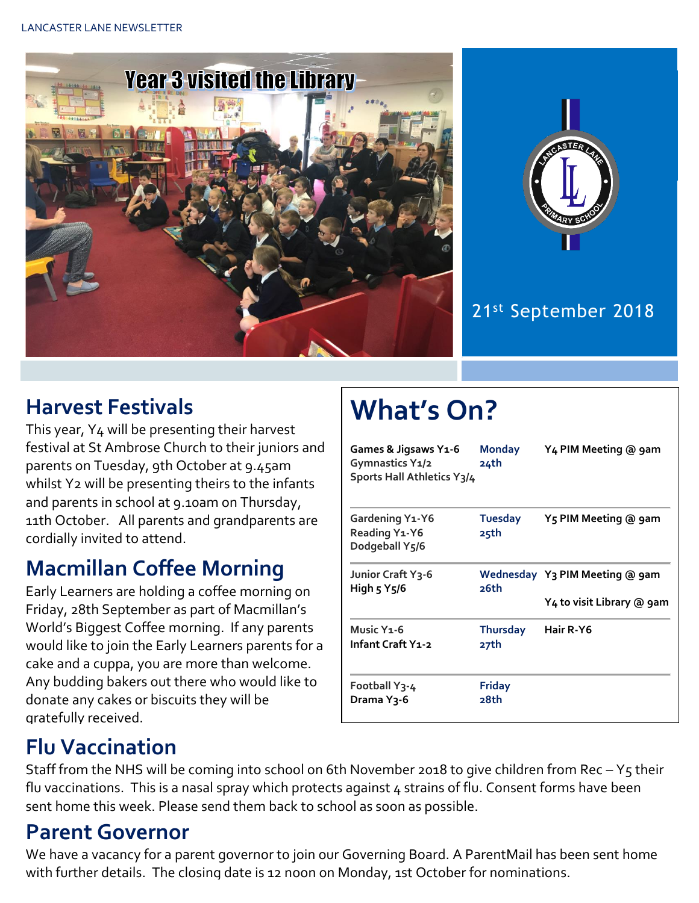



#### 21st September 2018

### **Harvest Festivals**

This year, Y4 will be presenting their harvest festival at St Ambrose Church to their juniors and parents on Tuesday, 9th October at 9.45am whilst Y<sub>2</sub> will be presenting theirs to the infants and parents in school at 9.10am on Thursday, 11th October. All parents and grandparents are cordially invited to attend.

#### **Macmillan Coffee Morning**

Early Learners are holding a coffee morning on Friday, 28th September as part of Macmillan's World's Biggest Coffee morning. If any parents would like to join the Early Learners parents for a cake and a cuppa, you are more than welcome. Any budding bakers out there who would like to donate any cakes or biscuits they will be gratefully received.

# **What's On?**

| Games & Jigsaws Y1-6<br>Gymnastics Y1/2<br>Sports Hall Athletics Y3/4 | <b>Monday</b><br>24th   | Y4 PIM Meeting @ 9am                                        |
|-----------------------------------------------------------------------|-------------------------|-------------------------------------------------------------|
| Gardening Y1-Y6<br><b>Reading Y1-Y6</b><br>Dodgeball Y5/6             | Tuesday<br>25th         | Y5 PIM Meeting @ 9am                                        |
| Junior Craft Y3-6<br>High 5 Y5/6                                      | 26th                    | Wednesday Y3 PIM Meeting @ 9am<br>Y4 to visit Library @ 9am |
| Music Y <sub>1</sub> -6<br>Infant Craft Y1-2                          | <b>Thursday</b><br>27th | Hair R-Y6                                                   |
| Football Y3-4<br>Drama Y3-6                                           | <b>Friday</b><br>28th   |                                                             |

## **Flu Vaccination**

Staff from the NHS will be coming into school on 6th November 2018 to give children from Rec –  $Y_5$  their flu vaccinations. This is a nasal spray which protects against 4 strains of flu. Consent forms have been sent home this week. Please send them back to school as soon as possible.

### **Parent Governor**

We have a vacancy for a parent governor to join our Governing Board. A ParentMail has been sent home with further details. The closing date is 12 noon on Monday, 1st October for nominations.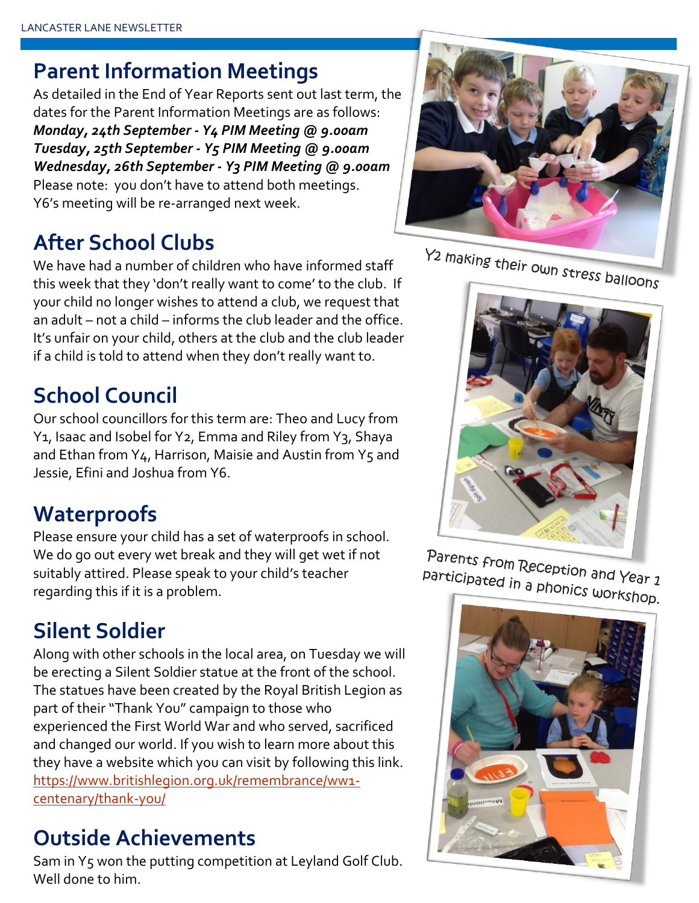#### **Parent Information Meetings**

As detailed in the End of Year Reports sent out last term, the dates for the Parent Information Meetings are as follows: *Monday, 24th September - Y4 PIM Meeting @ 9.00am Tuesday, 25th September - Y5 PIM Meeting @ 9.00am Wednesday, 26th September - Y3 PIM Meeting @ 9.00am* Please note: you don't have to attend both meetings. Y6's meeting will be re-arranged next week.

## **After School Clubs**

We have had a number of children who have informed staff this week that they 'don't really want to come' to the club. If your child no longer wishes to attend a club, we request that an adult – not a child – informs the club leader and the office. It's unfair on your child, others at the club and the club leader if a child is told to attend when they don't really want to.

# **School Council**

Our school councillors for this term are: Theo and Lucy from Y1, Isaac and Isobel for Y2, Emma and Riley from Y3, Shaya and Ethan from  $Y_4$ , Harrison, Maisie and Austin from  $Y_5$  and Jessie, Efini and Joshua from Y6.

## **Waterproofs**

Please ensure your child has a set of waterproofs in school. We do go out every wet break and they will get wet if not suitably attired. Please speak to your child's teacher regarding this if it is a problem.

## **Silent Soldier**

Along with other schools in the local area, on Tuesday we will be erecting a Silent Soldier statue at the front of the school. The statues have been created by the Royal British Legion as part of their "Thank You" campaign to those who experienced the First World War and who served, sacrificed and changed our world. If you wish to learn more about this they have a website which you can visit by following this link. [https://www.britishlegion.org.uk/remembrance/ww1](https://www.britishlegion.org.uk/remembrance/ww1-centenary/thank-you/) [centenary/thank-you/](https://www.britishlegion.org.uk/remembrance/ww1-centenary/thank-you/)

### **Outside Achievements**

Sam in Y5 won the putting competition at Leyland Golf Club. Well done to him.



Y2 making their own stress balloons

Parents from Reception and Year 1<br>Participated in a phonics ... participated in a phonics workshop.